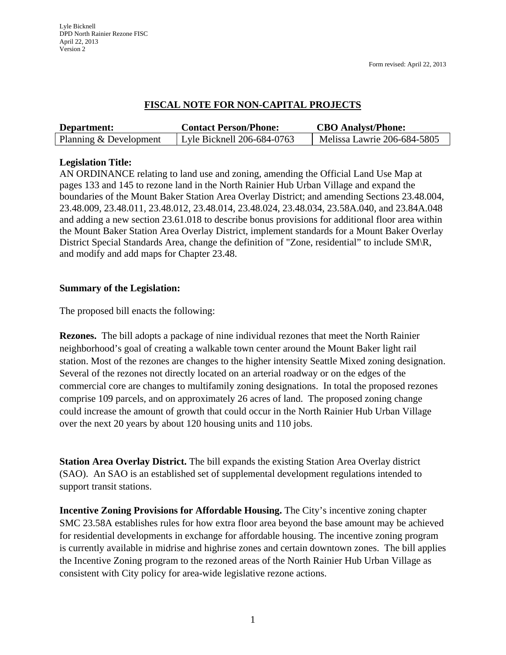# **FISCAL NOTE FOR NON-CAPITAL PROJECTS**

| Department:            | <b>Contact Person/Phone:</b> | <b>CBO</b> Analyst/Phone:   |
|------------------------|------------------------------|-----------------------------|
| Planning & Development | Lyle Bicknell 206-684-0763   | Melissa Lawrie 206-684-5805 |

## **Legislation Title:**

AN ORDINANCE relating to land use and zoning, amending the Official Land Use Map at pages 133 and 145 to rezone land in the North Rainier Hub Urban Village and expand the boundaries of the Mount Baker Station Area Overlay District; and amending Sections 23.48.004, 23.48.009, 23.48.011, 23.48.012, 23.48.014, 23.48.024, 23.48.034, 23.58A.040, and 23.84A.048 and adding a new section 23.61.018 to describe bonus provisions for additional floor area within the Mount Baker Station Area Overlay District, implement standards for a Mount Baker Overlay District Special Standards Area, change the definition of "Zone, residential" to include SM\R, and modify and add maps for Chapter 23.48.

#### **Summary of the Legislation:**

The proposed bill enacts the following:

**Rezones.** The bill adopts a package of nine individual rezones that meet the North Rainier neighborhood's goal of creating a walkable town center around the Mount Baker light rail station. Most of the rezones are changes to the higher intensity Seattle Mixed zoning designation. Several of the rezones not directly located on an arterial roadway or on the edges of the commercial core are changes to multifamily zoning designations. In total the proposed rezones comprise 109 parcels, and on approximately 26 acres of land. The proposed zoning change could increase the amount of growth that could occur in the North Rainier Hub Urban Village over the next 20 years by about 120 housing units and 110 jobs.

**Station Area Overlay District.** The bill expands the existing Station Area Overlay district (SAO). An SAO is an established set of supplemental development regulations intended to support transit stations.

**Incentive Zoning Provisions for Affordable Housing.** The City's incentive zoning chapter SMC 23.58A establishes rules for how extra floor area beyond the base amount may be achieved for residential developments in exchange for affordable housing. The incentive zoning program is currently available in midrise and highrise zones and certain downtown zones. The bill applies the Incentive Zoning program to the rezoned areas of the North Rainier Hub Urban Village as consistent with City policy for area-wide legislative rezone actions.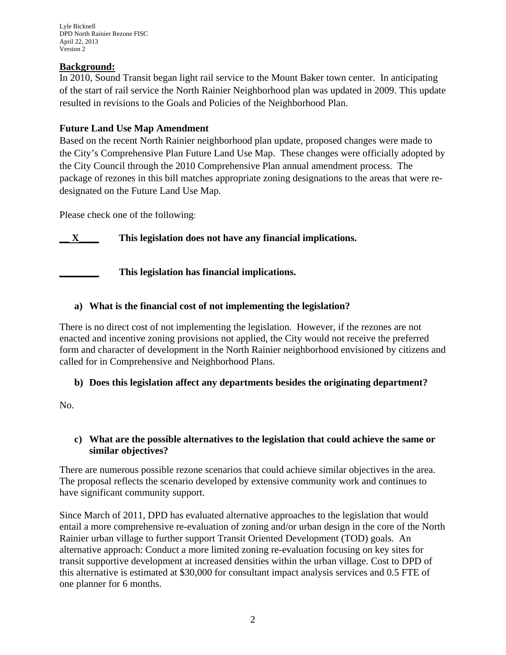Lyle Bicknell DPD North Rainier Rezone FISC April 22, 2013 Version 2

### **Background:**

In 2010, Sound Transit began light rail service to the Mount Baker town center. In anticipating of the start of rail service the North Rainier Neighborhood plan was updated in 2009. This update resulted in revisions to the Goals and Policies of the Neighborhood Plan.

### **Future Land Use Map Amendment**

Based on the recent North Rainier neighborhood plan update, proposed changes were made to the City's Comprehensive Plan Future Land Use Map. These changes were officially adopted by the City Council through the 2010 Comprehensive Plan annual amendment process. The package of rezones in this bill matches appropriate zoning designations to the areas that were redesignated on the Future Land Use Map.

Please check one of the following:

**\_\_ X\_\_\_\_ This legislation does not have any financial implications.**

**\_\_\_\_\_\_\_\_ This legislation has financial implications.**

## **a) What is the financial cost of not implementing the legislation?**

There is no direct cost of not implementing the legislation. However, if the rezones are not enacted and incentive zoning provisions not applied, the City would not receive the preferred form and character of development in the North Rainier neighborhood envisioned by citizens and called for in Comprehensive and Neighborhood Plans.

#### **b) Does this legislation affect any departments besides the originating department?**

No.

#### **c) What are the possible alternatives to the legislation that could achieve the same or similar objectives?**

There are numerous possible rezone scenarios that could achieve similar objectives in the area. The proposal reflects the scenario developed by extensive community work and continues to have significant community support.

Since March of 2011, DPD has evaluated alternative approaches to the legislation that would entail a more comprehensive re-evaluation of zoning and/or urban design in the core of the North Rainier urban village to further support Transit Oriented Development (TOD) goals. An alternative approach: Conduct a more limited zoning re-evaluation focusing on key sites for transit supportive development at increased densities within the urban village. Cost to DPD of this alternative is estimated at \$30,000 for consultant impact analysis services and 0.5 FTE of one planner for 6 months.